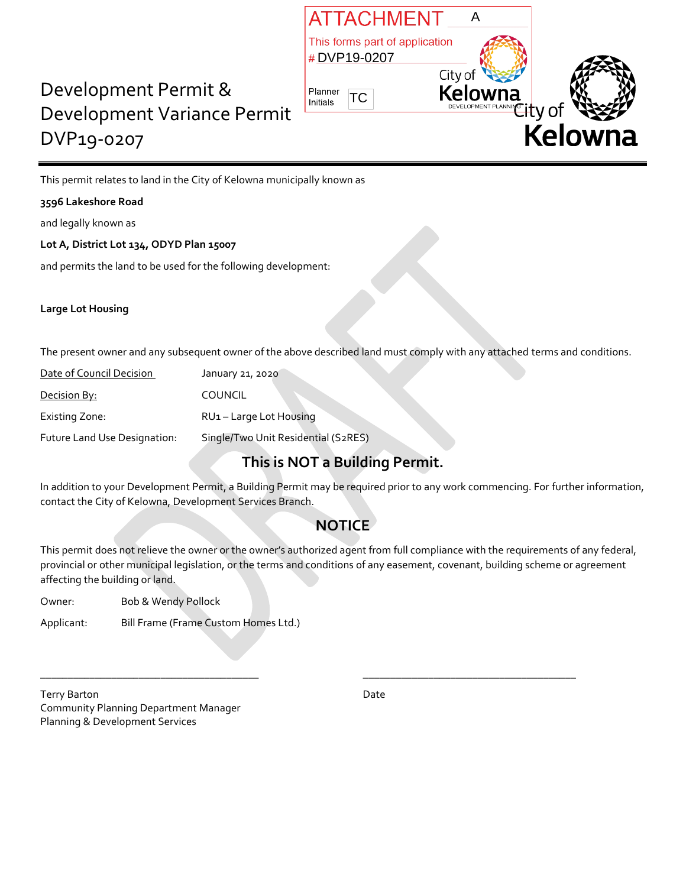

# Development Permit & Development Variance Permit DVP19-0207

This permit relates to land in the City of Kelowna municipally known as

#### **3596 Lakeshore Road**

and legally known as

#### **Lot A, District Lot 134, ODYD Plan 15007**

and permits the land to be used for the following development:

#### **Large Lot Housing**

The present owner and any subsequent owner of the above described land must comply with any attached terms and conditions.

| Date of Council Decision     | January 21, 2020                    |  |
|------------------------------|-------------------------------------|--|
| Decision By:                 | <b>COUNCIL</b>                      |  |
| Existing Zone:               | RU1-Large Lot Housing               |  |
| Future Land Use Designation: | Single/Two Unit Residential (S2RES) |  |

## **This is NOT a Building Permit.**

In addition to your Development Permit, a Building Permit may be required prior to any work commencing. For further information, contact the City of Kelowna, Development Services Branch.

### **NOTICE**

This permit does not relieve the owner or the owner's authorized agent from full compliance with the requirements of any federal, provincial or other municipal legislation, or the terms and conditions of any easement, covenant, building scheme or agreement affecting the building or land.

\_\_\_\_\_\_\_\_\_\_\_\_\_\_\_\_\_\_\_\_\_\_\_\_\_\_\_\_\_\_\_\_\_\_\_\_\_\_\_\_ \_\_\_\_\_\_\_\_\_\_\_\_\_\_\_\_\_\_\_\_\_\_\_\_\_\_\_\_\_\_\_\_\_\_\_\_\_\_\_

| Owner: | Bob & Wendy Pollock |
|--------|---------------------|
|        |                     |

Applicant: Bill Frame (Frame Custom Homes Ltd.)

Terry Barton Date **Date** Community Planning Department Manager Planning & Development Services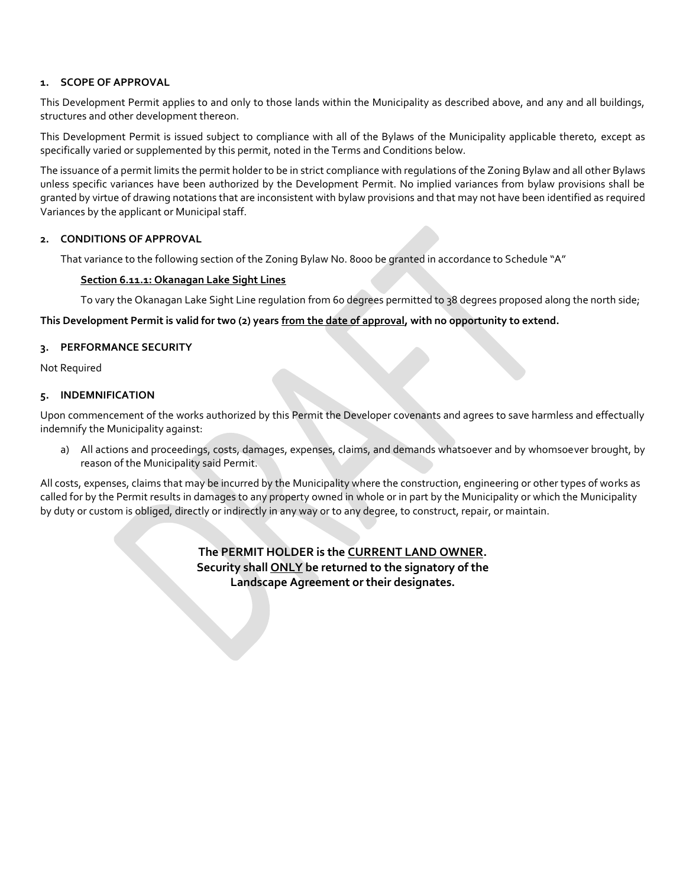#### **1. SCOPE OF APPROVAL**

This Development Permit applies to and only to those lands within the Municipality as described above, and any and all buildings, structures and other development thereon.

This Development Permit is issued subject to compliance with all of the Bylaws of the Municipality applicable thereto, except as specifically varied or supplemented by this permit, noted in the Terms and Conditions below.

The issuance of a permit limits the permit holder to be in strict compliance with regulations of the Zoning Bylaw and all other Bylaws unless specific variances have been authorized by the Development Permit. No implied variances from bylaw provisions shall be granted by virtue of drawing notations that are inconsistent with bylaw provisions and that may not have been identified as required Variances by the applicant or Municipal staff.

#### **2. CONDITIONS OF APPROVAL**

That variance to the following section of the Zoning Bylaw No. 8000 be granted in accordance to Schedule "A"

#### **Section 6.11.1: Okanagan Lake Sight Lines**

To vary the Okanagan Lake Sight Line regulation from 60 degrees permitted to 38 degrees proposed along the north side;

#### **This Development Permit is valid for two (2) years from the date of approval, with no opportunity to extend.**

#### **3. PERFORMANCE SECURITY**

Not Required

#### **5. INDEMNIFICATION**

Upon commencement of the works authorized by this Permit the Developer covenants and agrees to save harmless and effectually indemnify the Municipality against:

a) All actions and proceedings, costs, damages, expenses, claims, and demands whatsoever and by whomsoever brought, by reason of the Municipality said Permit.

All costs, expenses, claims that may be incurred by the Municipality where the construction, engineering or other types of works as called for by the Permit results in damages to any property owned in whole or in part by the Municipality or which the Municipality by duty or custom is obliged, directly or indirectly in any way or to any degree, to construct, repair, or maintain.

> **The PERMIT HOLDER is the CURRENT LAND OWNER. Security shall ONLY be returned to the signatory of the Landscape Agreement or their designates.**